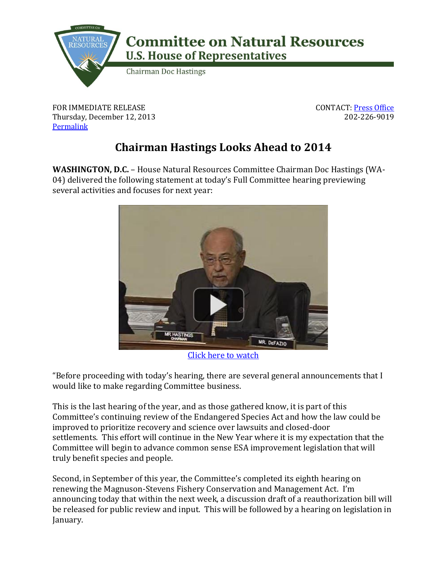

FOR IMMEDIATE RELEASE Thursday, December 12, 2013 **[Permalink](http://naturalresources.house.gov/news/documentsingle.aspx?DocumentID=364229)** 

CONTACT: [Press Office](http://naturalresources.house.gov/contact/media.htm) 202-226-9019

## **Chairman Hastings Looks Ahead to 2014**

**WASHINGTON, D.C.** – House Natural Resources Committee Chairman Doc Hastings (WA-04) delivered the following statement at today's Full Committee hearing previewing several activities and focuses for next year:



[Click here to watch](https://www.youtube.com/watch?v=cXZGUiWWdkA)

"Before proceeding with today's hearing, there are several general announcements that I would like to make regarding Committee business.

This is the last hearing of the year, and as those gathered know, it is part of this Committee's continuing review of the Endangered Species Act and how the law could be improved to prioritize recovery and science over lawsuits and closed-door settlements. This effort will continue in the New Year where it is my expectation that the Committee will begin to advance common sense ESA improvement legislation that will truly benefit species and people.

Second, in September of this year, the Committee's completed its eighth hearing on renewing the Magnuson-Stevens Fishery Conservation and Management Act. I'm announcing today that within the next week, a discussion draft of a reauthorization bill will be released for public review and input. This will be followed by a hearing on legislation in January.